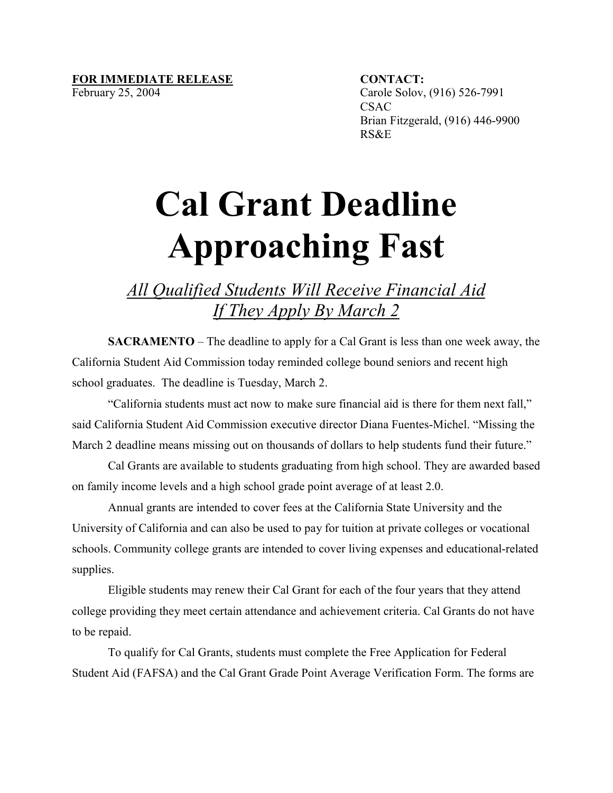## FOR IMMEDIATE RELEASE **CONTACT**:

February 25, 2004 Carole Solov, (916) 526-7991 CSAC Brian Fitzgerald, (916) 446-9900 RS&E

## **Cal Grant Deadline Approaching Fast**

## *All Qualified Students Will Receive Financial Aid If They Apply By March 2*

**SACRAMENTO** – The deadline to apply for a Cal Grant is less than one week away, the California Student Aid Commission today reminded college bound seniors and recent high school graduates. The deadline is Tuesday, March 2.

"California students must act now to make sure financial aid is there for them next fall," said California Student Aid Commission executive director Diana Fuentes-Michel. "Missing the March 2 deadline means missing out on thousands of dollars to help students fund their future."

Cal Grants are available to students graduating from high school. They are awarded based on family income levels and a high school grade point average of at least 2.0.

Annual grants are intended to cover fees at the California State University and the University of California and can also be used to pay for tuition at private colleges or vocational schools. Community college grants are intended to cover living expenses and educational-related supplies.

Eligible students may renew their Cal Grant for each of the four years that they attend college providing they meet certain attendance and achievement criteria. Cal Grants do not have to be repaid.

To qualify for Cal Grants, students must complete the Free Application for Federal Student Aid (FAFSA) and the Cal Grant Grade Point Average Verification Form. The forms are